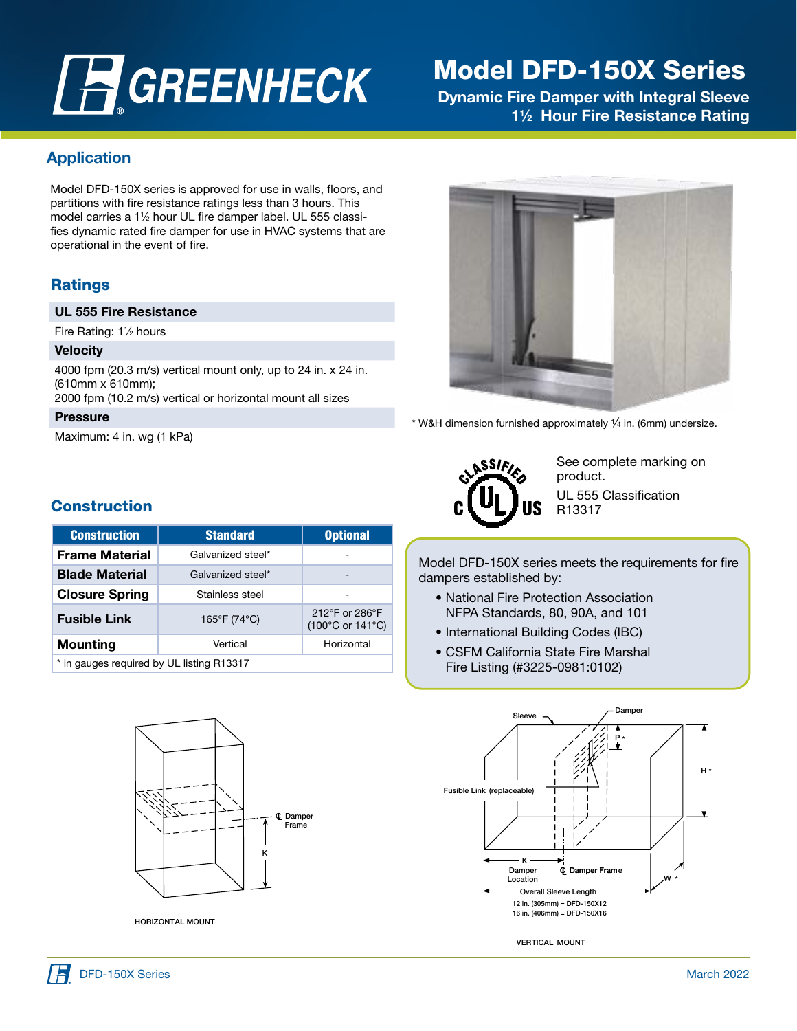# **A GREENHECK**

# Model DFD-150X Series

Dynamic Fire Damper with Integral Sleeve 1<sup>1/2</sup> Hour Fire Resistance Rating

## Application

Model DFD-150X series is approved for use in walls, floors, and partitions with fire resistance ratings less than 3 hours. This model carries a 11 ⁄2 hour UL fire damper label. UL 555 classifies dynamic rated fire damper for use in HVAC systems that are operational in the event of fire.

# Ratings

#### UL 555 Fire Resistance

Fire Rating: 1<sup>1</sup>/<sub>2</sub> hours

#### **Velocity**

4000 fpm (20.3 m/s) vertical mount only, up to 24 in. x 24 in. (610mm x 610mm);

2000 fpm (10.2 m/s) vertical or horizontal mount all sizes

#### **Pressure**

Maximum: 4 in. wg (1 kPa)

# **Construction**

| <b>Construction</b>                       | <b>Standard</b>   | <b>Optional</b>                    |  |  |  |
|-------------------------------------------|-------------------|------------------------------------|--|--|--|
| <b>Frame Material</b>                     | Galvanized steel* |                                    |  |  |  |
| <b>Blade Material</b>                     | Galvanized steel* |                                    |  |  |  |
| <b>Closure Spring</b>                     | Stainless steel   |                                    |  |  |  |
| <b>Fusible Link</b>                       | 165°F (74°C)      | 212°F or 286°F<br>(100°C or 141°C) |  |  |  |
| <b>Mounting</b>                           | Vertical          | Horizontal                         |  |  |  |
| * in gauges required by UL listing R13317 |                   |                                    |  |  |  |



HORIZONTAL MOUNT



\* W&H dimension furnished approximately  $\frac{1}{4}$  in. (6mm) undersize.



See complete marking on product. UL 555 Classification R13317

 Model DFD-150X series meets the requirements for fire dampers established by:

- National Fire Protection Association NFPA Standards, 80, 90A, and 101
- International Building Codes (IBC)
- CSFM California State Fire Marshal Fire Listing (#3225-0981:0102)



VERTICAL MOUNT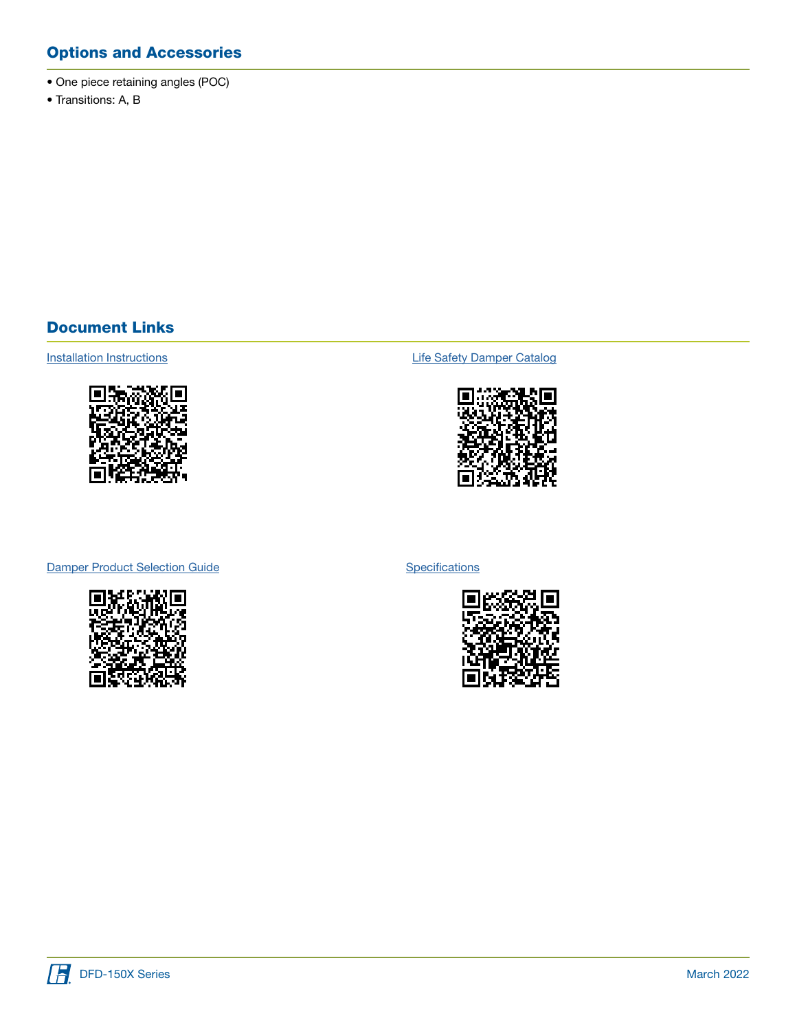# Options and Accessories

- One piece retaining angles (POC)
- Transitions: A, B

## Document Links



[Installation Instructions](https://content.greenheck.com/public/DAMProd/Original/10001/481324CurtainFireDampers_iom.pdf) **Installation Instructions [Life Safety Damper Catalog](https://content.greenheck.com/public/DAMProd/Original/10015/LifeSafetyDampers_catalog.pdf)** 



#### [Damper Product Selection Guide](https://content.greenheck.com/public/DAMProd/Original/10002/InteractiveDamperSelectionGuide.pdf)



**[Specifications](https://content.greenheck.com/public/DAMProd/Original/10002/DFDXSeries_spec.rtf)** 



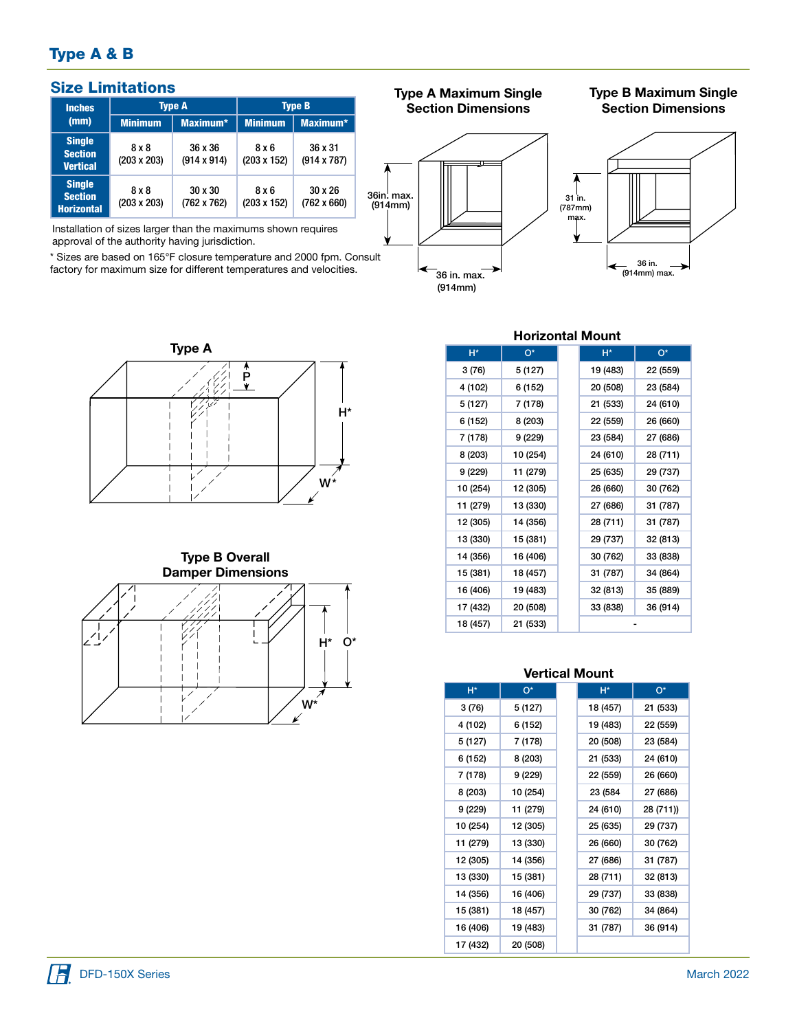# Type A & B

| <b>Size Limitations</b>                              |                             |                               |                             | <b>Type A Maximum Single</b>  | <b>Type B Maximum Single</b> |                           |  |
|------------------------------------------------------|-----------------------------|-------------------------------|-----------------------------|-------------------------------|------------------------------|---------------------------|--|
| <b>Inches</b><br>(mm)                                | <b>Type A</b>               |                               | <b>Type B</b>               |                               | <b>Section Dimensions</b>    | <b>Section Dimensions</b> |  |
|                                                      | <b>Minimum</b>              | Maximum*                      | <b>Minimum</b>              | Maximum*                      |                              |                           |  |
| <b>Single</b><br><b>Section</b><br><b>Vertical</b>   | 8 x 8<br>$(203 \times 203)$ | 36 x 36<br>$(914 \times 914)$ | 8 x 6<br>$(203 \times 152)$ | 36 x 31<br>$(914 \times 787)$ |                              |                           |  |
| <b>Single</b><br><b>Section</b><br><b>Horizontal</b> | $8 \times 8$<br>(203 x 203) | $30 \times 30$<br>(762 x 762) | 8 x 6<br>(203 x 152)        | $30 \times 26$<br>(762 x 660) | 36in. max.<br>(914mm)        | 31 in.<br>(787mm)<br>---- |  |

Installation of sizes larger than the maximums shown requires approval of the authority having jurisdiction.

\* Sizes are based on 165°F closure temperature and 2000 fpm. Consult factory for maximum size for different temperatures and velocities.



36 in. max. (914mm)

# Section Dimensions





#### Type B Overall Damper Dimensions



### Horizontal Mount

| $H^*$    | $O^*$    | $H^*$    | О*       |
|----------|----------|----------|----------|
| 3 (76)   | 5 (127)  | 19 (483) | 22 (559) |
| 4 (102)  | 6 (152)  | 20 (508) | 23 (584) |
| 5 (127)  | 7 (178)  | 21 (533) | 24 (610) |
| 6 (152)  | 8 (203)  | 22 (559) | 26 (660) |
| 7 (178)  | 9 (229)  | 23 (584) | 27 (686) |
| 8 (203)  | 10 (254) | 24 (610) | 28 (711) |
| 9 (229)  | 11 (279) | 25 (635) | 29 (737) |
| 10 (254) | 12 (305) | 26 (660) | 30 (762) |
| 11 (279) | 13 (330) | 27 (686) | 31 (787) |
| 12 (305) | 14 (356) | 28 (711) | 31 (787) |
| 13 (330) | 15 (381) | 29 (737) | 32 (813) |
| 14 (356) | 16 (406) | 30 (762) | 33 (838) |
| 15 (381) | 18 (457) | 31 (787) | 34 (864) |
| 16 (406) | 19 (483) | 32 (813) | 35 (889) |
| 17 (432) | 20 (508) | 33 (838) | 36 (914) |
| 18 (457) | 21 (533) |          |          |

#### Vertical Mount

| H*       | $O^*$    | H*       | о*        |
|----------|----------|----------|-----------|
| 3 (76)   | 5 (127)  | 18 (457) | 21 (533)  |
| 4 (102)  | 6 (152)  | 19 (483) | 22 (559)  |
| 5 (127)  | 7 (178)  | 20 (508) | 23 (584)  |
| 6 (152)  | 8 (203)  | 21 (533) | 24 (610)  |
| 7 (178)  | 9 (229)  | 22 (559) | 26 (660)  |
| 8 (203)  | 10 (254) | 23 (584  | 27 (686)  |
| 9 (229)  | 11 (279) | 24 (610) | 28 (711)) |
| 10 (254) | 12 (305) | 25 (635) | 29 (737)  |
| 11 (279) | 13 (330) | 26 (660) | 30 (762)  |
| 12 (305) | 14 (356) | 27 (686) | 31 (787)  |
| 13 (330) | 15 (381) | 28 (711) | 32 (813)  |
| 14 (356) | 16 (406) | 29 (737) | 33 (838)  |
| 15 (381) | 18 (457) | 30 (762) | 34 (864)  |
| 16 (406) | 19 (483) | 31 (787) | 36 (914)  |
| 17 (432) | 20 (508) |          |           |